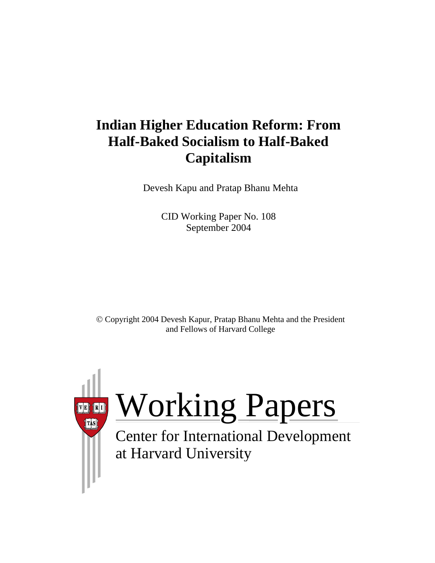# **Indian Higher Education Reform: From Half-Baked Socialism to Half-Baked Capitalism**

Devesh Kapu and Pratap Bhanu Mehta

CID Working Paper No. 108 September 2004

© Copyright 2004 Devesh Kapur, Pratap Bhanu Mehta and the President and Fellows of Harvard College

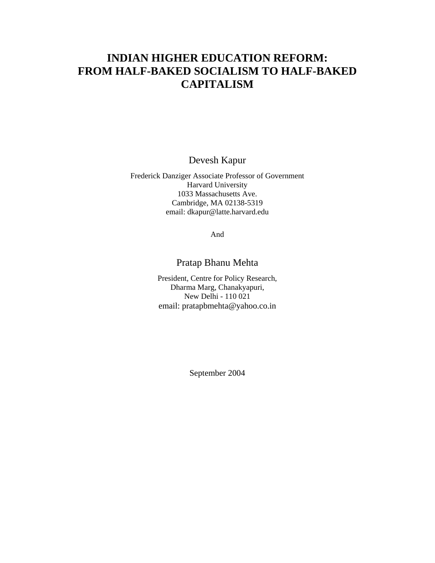## **INDIAN HIGHER EDUCATION REFORM: FROM HALF-BAKED SOCIALISM TO HALF-BAKED CAPITALISM**

Devesh Kapur

Frederick Danziger Associate Professor of Government Harvard University 1033 Massachusetts Ave. Cambridge, MA 02138-5319 email: dkapur@latte.harvard.edu

And

## Pratap Bhanu Mehta

President, Centre for Policy Research, Dharma Marg, Chanakyapuri, New Delhi - 110 021 email: pratapbmehta@yahoo.co.in

September 2004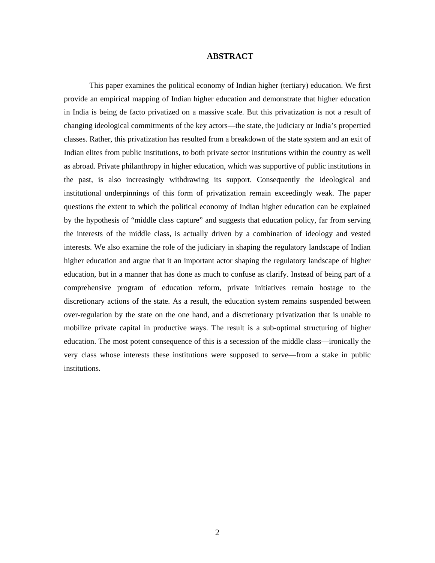#### **ABSTRACT**

This paper examines the political economy of Indian higher (tertiary) education. We first provide an empirical mapping of Indian higher education and demonstrate that higher education in India is being de facto privatized on a massive scale. But this privatization is not a result of changing ideological commitments of the key actors—the state, the judiciary or India's propertied classes. Rather, this privatization has resulted from a breakdown of the state system and an exit of Indian elites from public institutions, to both private sector institutions within the country as well as abroad. Private philanthropy in higher education, which was supportive of public institutions in the past, is also increasingly withdrawing its support. Consequently the ideological and institutional underpinnings of this form of privatization remain exceedingly weak. The paper questions the extent to which the political economy of Indian higher education can be explained by the hypothesis of "middle class capture" and suggests that education policy, far from serving the interests of the middle class, is actually driven by a combination of ideology and vested interests. We also examine the role of the judiciary in shaping the regulatory landscape of Indian higher education and argue that it an important actor shaping the regulatory landscape of higher education, but in a manner that has done as much to confuse as clarify. Instead of being part of a comprehensive program of education reform, private initiatives remain hostage to the discretionary actions of the state. As a result, the education system remains suspended between over-regulation by the state on the one hand, and a discretionary privatization that is unable to mobilize private capital in productive ways. The result is a sub-optimal structuring of higher education. The most potent consequence of this is a secession of the middle class—ironically the very class whose interests these institutions were supposed to serve—from a stake in public institutions.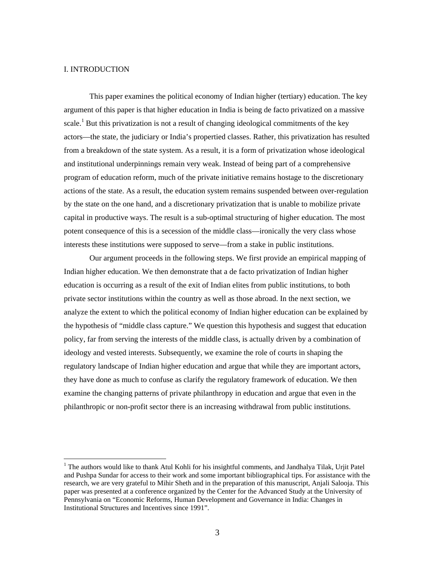#### I. INTRODUCTION

 $\overline{a}$ 

This paper examines the political economy of Indian higher (tertiary) education. The key argument of this paper is that higher education in India is being de facto privatized on a massive scale.<sup>1</sup>But this privatization is not a result of changing ideological commitments of the key actors—the state, the judiciary or India's propertied classes. Rather, this privatization has resulted from a breakdown of the state system. As a result, it is a form of privatization whose ideological and institutional underpinnings remain very weak. Instead of being part of a comprehensive program of education reform, much of the private initiative remains hostage to the discretionary actions of the state. As a result, the education system remains suspended between over-regulation by the state on the one hand, and a discretionary privatization that is unable to mobilize private capital in productive ways. The result is a sub-optimal structuring of higher education. The most potent consequence of this is a secession of the middle class—ironically the very class whose interests these institutions were supposed to serve—from a stake in public institutions.

Our argument proceeds in the following steps. We first provide an empirical mapping of Indian higher education. We then demonstrate that a de facto privatization of Indian higher education is occurring as a result of the exit of Indian elites from public institutions, to both private sector institutions within the country as well as those abroad. In the next section, we analyze the extent to which the political economy of Indian higher education can be explained by the hypothesis of "middle class capture." We question this hypothesis and suggest that education policy, far from serving the interests of the middle class, is actually driven by a combination of ideology and vested interests. Subsequently, we examine the role of courts in shaping the regulatory landscape of Indian higher education and argue that while they are important actors, they have done as much to confuse as clarify the regulatory framework of education. We then examine the changing patterns of private philanthropy in education and argue that even in the philanthropic or non-profit sector there is an increasing withdrawal from public institutions.

<span id="page-3-0"></span><sup>&</sup>lt;sup>1</sup> The authors would like to thank Atul Kohli for his insightful comments, and Jandhalya Tilak, Urjit Patel and Pushpa Sundar for access to their work and some important bibliographical tips. For assistance with the research, we are very grateful to Mihir Sheth and in the preparation of this manuscript, Anjali Salooja. This paper was presented at a conference organized by the Center for the Advanced Study at the University of Pennsylvania on "Economic Reforms, Human Development and Governance in India: Changes in Institutional Structures and Incentives since 1991".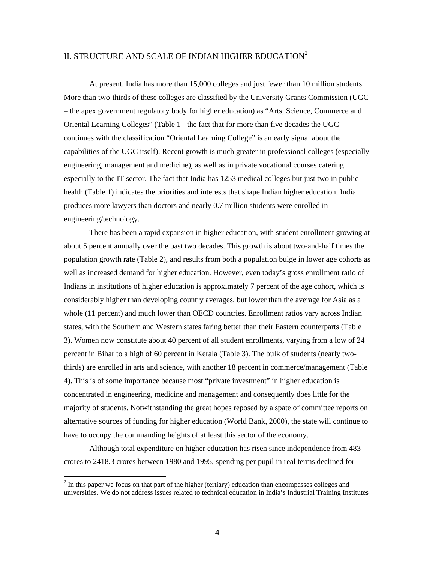## II. STRUCTURE AND SCALE OF INDIAN HIGHER EDUCATION<sup>[2](#page-4-0)</sup>

At present, India has more than 15,000 colleges and just fewer than 10 million students. More than two-thirds of these colleges are classified by the University Grants Commission (UGC – the apex government regulatory body for higher education) as "Arts, Science, Commerce and Oriental Learning Colleges" (Table 1 - the fact that for more than five decades the UGC continues with the classification "Oriental Learning College" is an early signal about the capabilities of the UGC itself). Recent growth is much greater in professional colleges (especially engineering, management and medicine), as well as in private vocational courses catering especially to the IT sector. The fact that India has 1253 medical colleges but just two in public health (Table 1) indicates the priorities and interests that shape Indian higher education. India produces more lawyers than doctors and nearly 0.7 million students were enrolled in engineering/technology.

There has been a rapid expansion in higher education, with student enrollment growing at about 5 percent annually over the past two decades. This growth is about two-and-half times the population growth rate (Table 2), and results from both a population bulge in lower age cohorts as well as increased demand for higher education. However, even today's gross enrollment ratio of Indians in institutions of higher education is approximately 7 percent of the age cohort, which is considerably higher than developing country averages, but lower than the average for Asia as a whole (11 percent) and much lower than OECD countries. Enrollment ratios vary across Indian states, with the Southern and Western states faring better than their Eastern counterparts (Table 3). Women now constitute about 40 percent of all student enrollments, varying from a low of 24 percent in Bihar to a high of 60 percent in Kerala (Table 3). The bulk of students (nearly twothirds) are enrolled in arts and science, with another 18 percent in commerce/management (Table 4). This is of some importance because most "private investment" in higher education is concentrated in engineering, medicine and management and consequently does little for the majority of students. Notwithstanding the great hopes reposed by a spate of committee reports on alternative sources of funding for higher education (World Bank, 2000), the state will continue to have to occupy the commanding heights of at least this sector of the economy.

Although total expenditure on higher education has risen since independence from 483 crores to 2418.3 crores between 1980 and 1995, spending per pupil in real terms declined for

<span id="page-4-0"></span> $2<sup>2</sup>$  In this paper we focus on that part of the higher (tertiary) education than encompasses colleges and universities. We do not address issues related to technical education in India's Industrial Training Institutes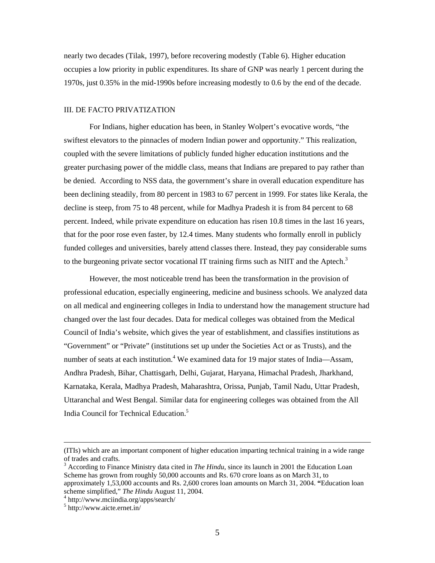nearly two decades (Tilak, 1997), before recovering modestly (Table 6). Higher education occupies a low priority in public expenditures. Its share of GNP was nearly 1 percent during the 1970s, just 0.35% in the mid-1990s before increasing modestly to 0.6 by the end of the decade.

#### III. DE FACTO PRIVATIZATION

For Indians, higher education has been, in Stanley Wolpert's evocative words, "the swiftest elevators to the pinnacles of modern Indian power and opportunity." This realization, coupled with the severe limitations of publicly funded higher education institutions and the greater purchasing power of the middle class, means that Indians are prepared to pay rather than be denied. According to NSS data, the government's share in overall education expenditure has been declining steadily, from 80 percent in 1983 to 67 percent in 1999. For states like Kerala, the decline is steep, from 75 to 48 percent, while for Madhya Pradesh it is from 84 percent to 68 percent. Indeed, while private expenditure on education has risen 10.8 times in the last 16 years, that for the poor rose even faster, by 12.4 times. Many students who formally enroll in publicly funded colleges and universities, barely attend classes there. Instead, they pay considerable sums tothe burgeoning private sector vocational IT training firms such as NIIT and the Aptech.<sup>3</sup>

However, the most noticeable trend has been the transformation in the provision of professional education, especially engineering, medicine and business schools. We analyzed data on all medical and engineering colleges in India to understand how the management structure had changed over the last four decades. Data for medical colleges was obtained from the Medical Council of India's website, which gives the year of establishment, and classifies institutions as "Government" or "Private" (institutions set up under the Societies Act or as Trusts), and the number of seats at each institution.<sup>4</sup> [W](#page-5-1)e examined data for 19 major states of India—Assam, Andhra Pradesh, Bihar, Chattisgarh, Delhi, Gujarat, Haryana, Himachal Pradesh, Jharkhand, Karnataka, Kerala, Madhya Pradesh, Maharashtra, Orissa, Punjab, Tamil Nadu, Uttar Pradesh, Uttaranchal and West Bengal. Similar data for engineering colleges was obtained from the All India Council for Technical Education.<sup>5</sup>

 <sup>(</sup>ITIs) which are an important component of higher education imparting technical training in a wide range of trades and crafts.

<span id="page-5-0"></span><sup>&</sup>lt;sup>3</sup> According to Finance Ministry data cited in *The Hindu*, since its launch in 2001 the Education Loan Scheme has grown from roughly 50,000 accounts and Rs. 670 crore loans as on March 31, to approximately 1,53,000 accounts and Rs. 2,600 crores loan amounts on March 31, 2004. **"**Education loan scheme simplified," *The Hindu* August 11, 2004.

<span id="page-5-1"></span>http://www.mciindia.org/apps/search/ 5

<span id="page-5-2"></span>http://www.aicte.ernet.in/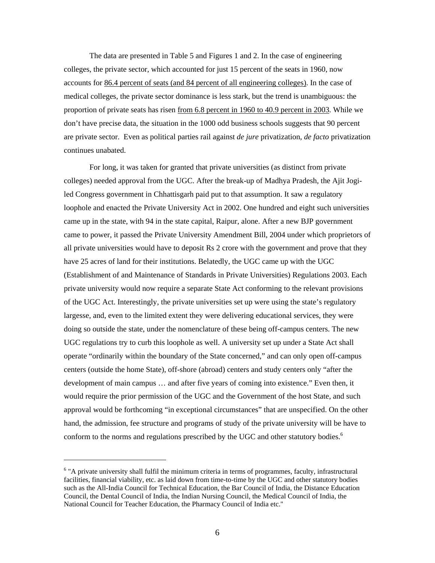The data are presented in Table 5 and Figures 1 and 2. In the case of engineering colleges, the private sector, which accounted for just 15 percent of the seats in 1960, now accounts for 86.4 percent of seats (and 84 percent of all engineering colleges). In the case of medical colleges, the private sector dominance is less stark, but the trend is unambiguous: the proportion of private seats has risen from 6.8 percent in 1960 to 40.9 percent in 2003. While we don't have precise data, the situation in the 1000 odd business schools suggests that 90 percent are private sector. Even as political parties rail against *de jure* privatization, *de facto* privatization continues unabated.

For long, it was taken for granted that private universities (as distinct from private colleges) needed approval from the UGC. After the break-up of Madhya Pradesh, the Ajit Jogiled Congress government in Chhattisgarh paid put to that assumption. It saw a regulatory loophole and enacted the Private University Act in 2002. One hundred and eight such universities came up in the state, with 94 in the state capital, Raipur, alone. After a new BJP government came to power, it passed the Private University Amendment Bill, 2004 under which proprietors of all private universities would have to deposit Rs 2 crore with the government and prove that they have 25 acres of land for their institutions. Belatedly, the UGC came up with the UGC (Establishment of and Maintenance of Standards in Private Universities) Regulations 2003. Each private university would now require a separate State Act conforming to the relevant provisions of the UGC Act. Interestingly, the private universities set up were using the state's regulatory largesse, and, even to the limited extent they were delivering educational services, they were doing so outside the state, under the nomenclature of these being off-campus centers. The new UGC regulations try to curb this loophole as well. A university set up under a State Act shall operate "ordinarily within the boundary of the State concerned," and can only open off-campus centers (outside the home State), off-shore (abroad) centers and study centers only "after the development of main campus … and after five years of coming into existence." Even then, it would require the prior permission of the UGC and the Government of the host State, and such approval would be forthcoming "in exceptional circumstances" that are unspecified. On the other hand, the admission, fee structure and programs of study of the private university will be have to conform to the norms and regulations prescribed by the UGC and other statutory bodies.<sup>6</sup>

<u>.</u>

<span id="page-6-0"></span><sup>&</sup>lt;sup>6</sup> "A private university shall fulfil the minimum criteria in terms of programmes, faculty, infrastructural facilities, financial viability, etc. as laid down from time-to-time by the UGC and other statutory bodies such as the All-India Council for Technical Education, the Bar Council of India, the Distance Education Council, the Dental Council of India, the Indian Nursing Council, the Medical Council of India, the National Council for Teacher Education, the Pharmacy Council of India etc.''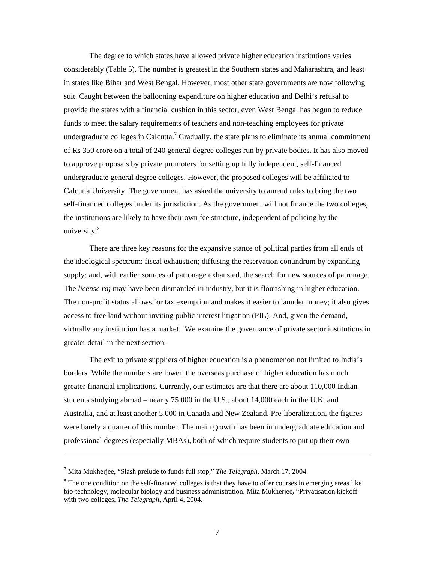The degree to which states have allowed private higher education institutions varies considerably (Table 5). The number is greatest in the Southern states and Maharashtra, and least in states like Bihar and West Bengal. However, most other state governments are now following suit. Caught between the ballooning expenditure on higher education and Delhi's refusal to provide the states with a financial cushion in this sector, even West Bengal has begun to reduce funds to meet the salary requirements of teachers and non-teaching employees for private undergraduate colleges in Calcutta.<sup>[7](#page-7-0)</sup> Gradually, the state plans to eliminate its annual commitment of Rs 350 crore on a total of 240 general-degree colleges run by private bodies. It has also moved to approve proposals by private promoters for setting up fully independent, self-financed undergraduate general degree colleges. However, the proposed colleges will be affiliated to Calcutta University. The government has asked the university to amend rules to bring the two self-financed colleges under its jurisdiction. As the government will not finance the two colleges, the institutions are likely to have their own fee structure, independent of policing by the university.<sup>[8](#page-7-1)</sup>

There are three key reasons for the expansive stance of political parties from all ends of the ideological spectrum: fiscal exhaustion; diffusing the reservation conundrum by expanding supply; and, with earlier sources of patronage exhausted, the search for new sources of patronage. The *license raj* may have been dismantled in industry, but it is flourishing in higher education. The non-profit status allows for tax exemption and makes it easier to launder money; it also gives access to free land without inviting public interest litigation (PIL). And, given the demand, virtually any institution has a market. We examine the governance of private sector institutions in greater detail in the next section.

The exit to private suppliers of higher education is a phenomenon not limited to India's borders. While the numbers are lower, the overseas purchase of higher education has much greater financial implications. Currently, our estimates are that there are about 110,000 Indian students studying abroad – nearly 75,000 in the U.S., about 14,000 each in the U.K. and Australia, and at least another 5,000 in Canada and New Zealand. Pre-liberalization, the figures were barely a quarter of this number. The main growth has been in undergraduate education and professional degrees (especially MBAs), both of which require students to put up their own

<span id="page-7-0"></span><sup>7</sup> Mita Mukherjee, "Slash prelude to funds full stop," *The Telegraph*, March 17, 2004.

<span id="page-7-1"></span><sup>&</sup>lt;sup>8</sup> The one condition on the self-financed colleges is that they have to offer courses in emerging areas like bio-technology, molecular biology and business administration. Mita Mukherjee**,** "Privatisation kickoff with two colleges, *The Telegraph*, April 4, 2004.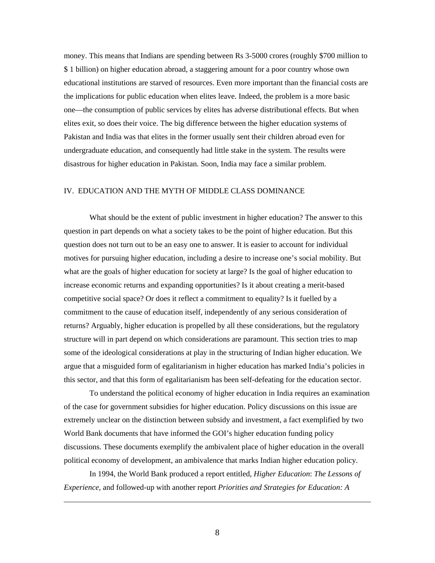money. This means that Indians are spending between Rs 3-5000 crores (roughly \$700 million to \$ 1 billion) on higher education abroad, a staggering amount for a poor country whose own educational institutions are starved of resources. Even more important than the financial costs are the implications for public education when elites leave. Indeed, the problem is a more basic one—the consumption of public services by elites has adverse distributional effects. But when elites exit, so does their voice. The big difference between the higher education systems of Pakistan and India was that elites in the former usually sent their children abroad even for undergraduate education, and consequently had little stake in the system. The results were disastrous for higher education in Pakistan. Soon, India may face a similar problem.

#### IV. EDUCATION AND THE MYTH OF MIDDLE CLASS DOMINANCE

What should be the extent of public investment in higher education? The answer to this question in part depends on what a society takes to be the point of higher education. But this question does not turn out to be an easy one to answer. It is easier to account for individual motives for pursuing higher education, including a desire to increase one's social mobility. But what are the goals of higher education for society at large? Is the goal of higher education to increase economic returns and expanding opportunities? Is it about creating a merit-based competitive social space? Or does it reflect a commitment to equality? Is it fuelled by a commitment to the cause of education itself, independently of any serious consideration of returns? Arguably, higher education is propelled by all these considerations, but the regulatory structure will in part depend on which considerations are paramount. This section tries to map some of the ideological considerations at play in the structuring of Indian higher education. We argue that a misguided form of egalitarianism in higher education has marked India's policies in this sector, and that this form of egalitarianism has been self-defeating for the education sector.

To understand the political economy of higher education in India requires an examination of the case for government subsidies for higher education. Policy discussions on this issue are extremely unclear on the distinction between subsidy and investment, a fact exemplified by two World Bank documents that have informed the GOI's higher education funding policy discussions. These documents exemplify the ambivalent place of higher education in the overall political economy of development, an ambivalence that marks Indian higher education policy.

In 1994, the World Bank produced a report entitled, *Higher Education*: *The Lessons of Experience*, and followed-up with another report *Priorities and Strategies for Education: A*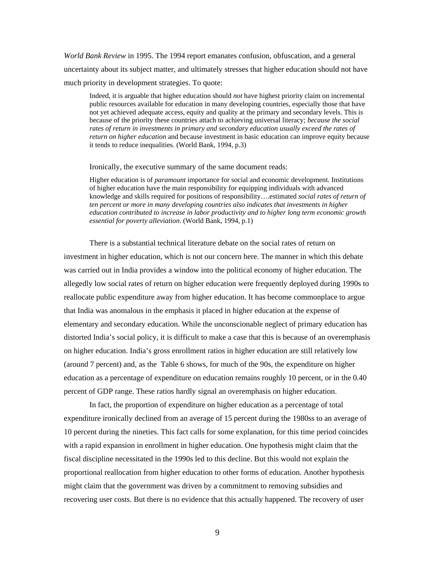*World Bank Review* in 1995. The 1994 report emanates confusion, obfuscation, and a general uncertainty about its subject matter, and ultimately stresses that higher education should not have much priority in development strategies. To quote:

Indeed, it is arguable that higher education should *not* have highest priority claim on incremental public resources available for education in many developing countries, especially those that have not yet achieved adequate access, equity and quality at the primary and secondary levels. This is because of the priority these countries attach to achieving universal literacy; *because the social rates of return in investments in primary and secondary education usually exceed the rates of return on higher education* and because investment in basic education can improve equity because it tends to reduce inequalities. (World Bank, 1994, p.3)

Ironically, the executive summary of the same document reads:

Higher education is of *paramount* importance for social and economic development. Institutions of higher education have the main responsibility for equipping individuals with advanced knowledge and skills required for positions of responsibility….estimated *social rates of return of ten percent or more in many developing countries also indicates that investments in higher education contributed to increase in labor productivity and to higher long term economic growth essential for poverty alleviation*. (World Bank, 1994, p.1)

There is a substantial technical literature debate on the social rates of return on investment in higher education, which is not our concern here. The manner in which this debate was carried out in India provides a window into the political economy of higher education. The allegedly low social rates of return on higher education were frequently deployed during 1990s to reallocate public expenditure away from higher education. It has become commonplace to argue that India was anomalous in the emphasis it placed in higher education at the expense of elementary and secondary education. While the unconscionable neglect of primary education has distorted India's social policy, it is difficult to make a case that this is because of an overemphasis on higher education. India's gross enrollment ratios in higher education are still relatively low (around 7 percent) and, as the Table 6 shows, for much of the 90s, the expenditure on higher education as a percentage of expenditure on education remains roughly 10 percent, or in the 0.40 percent of GDP range. These ratios hardly signal an overemphasis on higher education.

In fact, the proportion of expenditure on higher education as a percentage of total expenditure ironically declined from an average of 15 percent during the 1980ss to an average of 10 percent during the nineties. This fact calls for some explanation, for this time period coincides with a rapid expansion in enrollment in higher education. One hypothesis might claim that the fiscal discipline necessitated in the 1990s led to this decline. But this would not explain the proportional reallocation from higher education to other forms of education. Another hypothesis might claim that the government was driven by a commitment to removing subsidies and recovering user costs. But there is no evidence that this actually happened. The recovery of user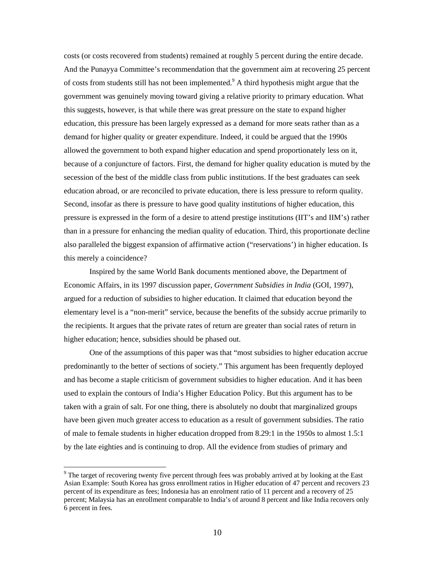costs (or costs recovered from students) remained at roughly 5 percent during the entire decade. And the Punayya Committee's recommendation that the government aim at recovering 25 percent of costs from students still has not been implemented.<sup>[9](#page-10-0)</sup> A third hypothesis might argue that the government was genuinely moving toward giving a relative priority to primary education. What this suggests, however, is that while there was great pressure on the state to expand higher education, this pressure has been largely expressed as a demand for more seats rather than as a demand for higher quality or greater expenditure. Indeed, it could be argued that the 1990s allowed the government to both expand higher education and spend proportionately less on it, because of a conjuncture of factors. First, the demand for higher quality education is muted by the secession of the best of the middle class from public institutions. If the best graduates can seek education abroad, or are reconciled to private education, there is less pressure to reform quality. Second, insofar as there is pressure to have good quality institutions of higher education, this pressure is expressed in the form of a desire to attend prestige institutions (IIT's and IIM's) rather than in a pressure for enhancing the median quality of education. Third, this proportionate decline also paralleled the biggest expansion of affirmative action ("reservations') in higher education. Is this merely a coincidence?

Inspired by the same World Bank documents mentioned above, the Department of Economic Affairs, in its 1997 discussion paper, *Government Subsidies in India* (GOI, 1997), argued for a reduction of subsidies to higher education. It claimed that education beyond the elementary level is a "non-merit" service, because the benefits of the subsidy accrue primarily to the recipients. It argues that the private rates of return are greater than social rates of return in higher education; hence, subsidies should be phased out.

One of the assumptions of this paper was that "most subsidies to higher education accrue predominantly to the better of sections of society." This argument has been frequently deployed and has become a staple criticism of government subsidies to higher education. And it has been used to explain the contours of India's Higher Education Policy. But this argument has to be taken with a grain of salt. For one thing, there is absolutely no doubt that marginalized groups have been given much greater access to education as a result of government subsidies. The ratio of male to female students in higher education dropped from 8.29:1 in the 1950s to almost 1.5:1 by the late eighties and is continuing to drop. All the evidence from studies of primary and

<span id="page-10-0"></span><sup>&</sup>lt;sup>9</sup> The target of recovering twenty five percent through fees was probably arrived at by looking at the East Asian Example: South Korea has gross enrollment ratios in Higher education of 47 percent and recovers 23 percent of its expenditure as fees; Indonesia has an enrolment ratio of 11 percent and a recovery of 25 percent; Malaysia has an enrollment comparable to India's of around 8 percent and like India recovers only 6 percent in fees.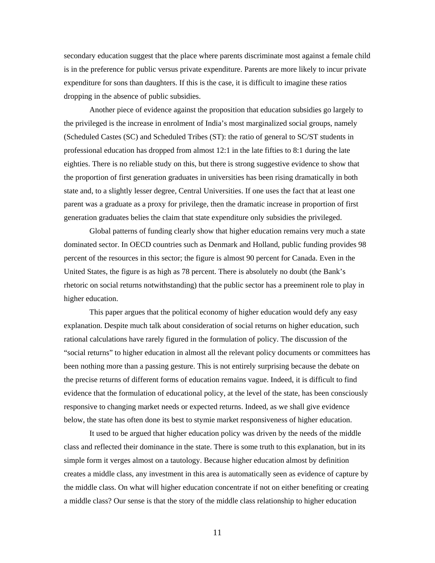secondary education suggest that the place where parents discriminate most against a female child is in the preference for public versus private expenditure. Parents are more likely to incur private expenditure for sons than daughters. If this is the case, it is difficult to imagine these ratios dropping in the absence of public subsidies.

Another piece of evidence against the proposition that education subsidies go largely to the privileged is the increase in enrolment of India's most marginalized social groups, namely (Scheduled Castes (SC) and Scheduled Tribes (ST): the ratio of general to SC/ST students in professional education has dropped from almost 12:1 in the late fifties to 8:1 during the late eighties. There is no reliable study on this, but there is strong suggestive evidence to show that the proportion of first generation graduates in universities has been rising dramatically in both state and, to a slightly lesser degree, Central Universities. If one uses the fact that at least one parent was a graduate as a proxy for privilege, then the dramatic increase in proportion of first generation graduates belies the claim that state expenditure only subsidies the privileged.

Global patterns of funding clearly show that higher education remains very much a state dominated sector. In OECD countries such as Denmark and Holland, public funding provides 98 percent of the resources in this sector; the figure is almost 90 percent for Canada. Even in the United States, the figure is as high as 78 percent. There is absolutely no doubt (the Bank's rhetoric on social returns notwithstanding) that the public sector has a preeminent role to play in higher education.

This paper argues that the political economy of higher education would defy any easy explanation. Despite much talk about consideration of social returns on higher education, such rational calculations have rarely figured in the formulation of policy. The discussion of the "social returns" to higher education in almost all the relevant policy documents or committees has been nothing more than a passing gesture. This is not entirely surprising because the debate on the precise returns of different forms of education remains vague. Indeed, it is difficult to find evidence that the formulation of educational policy, at the level of the state, has been consciously responsive to changing market needs or expected returns. Indeed, as we shall give evidence below, the state has often done its best to stymie market responsiveness of higher education.

 It used to be argued that higher education policy was driven by the needs of the middle class and reflected their dominance in the state. There is some truth to this explanation, but in its simple form it verges almost on a tautology. Because higher education almost by definition creates a middle class, any investment in this area is automatically seen as evidence of capture by the middle class. On what will higher education concentrate if not on either benefiting or creating a middle class? Our sense is that the story of the middle class relationship to higher education

11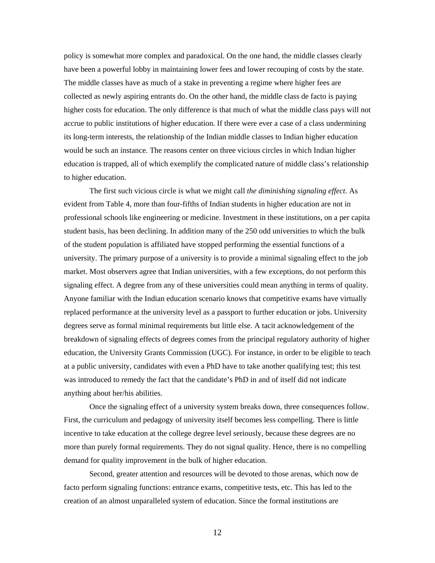policy is somewhat more complex and paradoxical. On the one hand, the middle classes clearly have been a powerful lobby in maintaining lower fees and lower recouping of costs by the state. The middle classes have as much of a stake in preventing a regime where higher fees are collected as newly aspiring entrants do. On the other hand, the middle class de facto is paying higher costs for education. The only difference is that much of what the middle class pays will not accrue to public institutions of higher education. If there were ever a case of a class undermining its long-term interests, the relationship of the Indian middle classes to Indian higher education would be such an instance. The reasons center on three vicious circles in which Indian higher education is trapped, all of which exemplify the complicated nature of middle class's relationship to higher education.

The first such vicious circle is what we might call *the diminishing signaling effect*. As evident from Table 4, more than four-fifths of Indian students in higher education are not in professional schools like engineering or medicine. Investment in these institutions, on a per capita student basis, has been declining. In addition many of the 250 odd universities to which the bulk of the student population is affiliated have stopped performing the essential functions of a university. The primary purpose of a university is to provide a minimal signaling effect to the job market. Most observers agree that Indian universities, with a few exceptions, do not perform this signaling effect. A degree from any of these universities could mean anything in terms of quality. Anyone familiar with the Indian education scenario knows that competitive exams have virtually replaced performance at the university level as a passport to further education or jobs. University degrees serve as formal minimal requirements but little else. A tacit acknowledgement of the breakdown of signaling effects of degrees comes from the principal regulatory authority of higher education, the University Grants Commission (UGC). For instance, in order to be eligible to teach at a public university, candidates with even a PhD have to take another qualifying test; this test was introduced to remedy the fact that the candidate's PhD in and of itself did not indicate anything about her/his abilities.

Once the signaling effect of a university system breaks down, three consequences follow. First, the curriculum and pedagogy of university itself becomes less compelling. There is little incentive to take education at the college degree level seriously, because these degrees are no more than purely formal requirements. They do not signal quality. Hence, there is no compelling demand for quality improvement in the bulk of higher education.

Second, greater attention and resources will be devoted to those arenas, which now de facto perform signaling functions: entrance exams, competitive tests, etc. This has led to the creation of an almost unparalleled system of education. Since the formal institutions are

12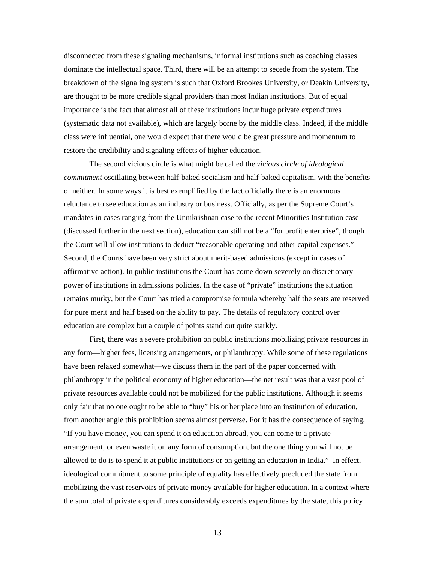disconnected from these signaling mechanisms, informal institutions such as coaching classes dominate the intellectual space. Third, there will be an attempt to secede from the system. The breakdown of the signaling system is such that Oxford Brookes University, or Deakin University, are thought to be more credible signal providers than most Indian institutions. But of equal importance is the fact that almost all of these institutions incur huge private expenditures (systematic data not available), which are largely borne by the middle class. Indeed, if the middle class were influential, one would expect that there would be great pressure and momentum to restore the credibility and signaling effects of higher education.

The second vicious circle is what might be called the *vicious circle of ideological commitment* oscillating between half-baked socialism and half-baked capitalism, with the benefits of neither. In some ways it is best exemplified by the fact officially there is an enormous reluctance to see education as an industry or business. Officially, as per the Supreme Court's mandates in cases ranging from the Unnikrishnan case to the recent Minorities Institution case (discussed further in the next section), education can still not be a "for profit enterprise", though the Court will allow institutions to deduct "reasonable operating and other capital expenses." Second, the Courts have been very strict about merit-based admissions (except in cases of affirmative action). In public institutions the Court has come down severely on discretionary power of institutions in admissions policies. In the case of "private" institutions the situation remains murky, but the Court has tried a compromise formula whereby half the seats are reserved for pure merit and half based on the ability to pay. The details of regulatory control over education are complex but a couple of points stand out quite starkly.

First, there was a severe prohibition on public institutions mobilizing private resources in any form—higher fees, licensing arrangements, or philanthropy. While some of these regulations have been relaxed somewhat—we discuss them in the part of the paper concerned with philanthropy in the political economy of higher education—the net result was that a vast pool of private resources available could not be mobilized for the public institutions. Although it seems only fair that no one ought to be able to "buy" his or her place into an institution of education, from another angle this prohibition seems almost perverse. For it has the consequence of saying, "If you have money, you can spend it on education abroad, you can come to a private arrangement, or even waste it on any form of consumption, but the one thing you will not be allowed to do is to spend it at public institutions or on getting an education in India." In effect, ideological commitment to some principle of equality has effectively precluded the state from mobilizing the vast reservoirs of private money available for higher education. In a context where the sum total of private expenditures considerably exceeds expenditures by the state, this policy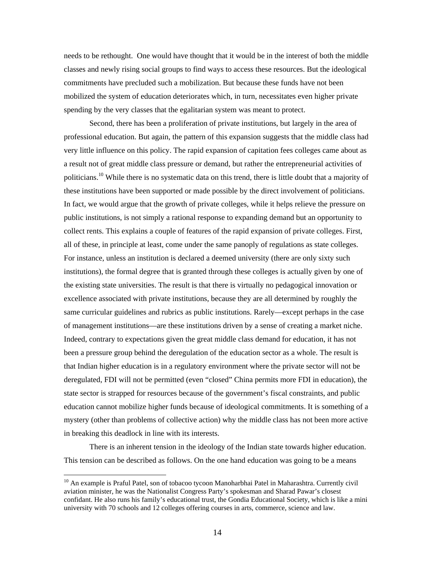needs to be rethought. One would have thought that it would be in the interest of both the middle classes and newly rising social groups to find ways to access these resources. But the ideological commitments have precluded such a mobilization. But because these funds have not been mobilized the system of education deteriorates which, in turn, necessitates even higher private spending by the very classes that the egalitarian system was meant to protect.

Second, there has been a proliferation of private institutions, but largely in the area of professional education. But again, the pattern of this expansion suggests that the middle class had very little influence on this policy. The rapid expansion of capitation fees colleges came about as a result not of great middle class pressure or demand, but rather the entrepreneurial activities of politicians.<sup>[10](#page-14-0)</sup> While there is no systematic data on this trend, there is little doubt that a majority of these institutions have been supported or made possible by the direct involvement of politicians. In fact, we would argue that the growth of private colleges, while it helps relieve the pressure on public institutions, is not simply a rational response to expanding demand but an opportunity to collect rents. This explains a couple of features of the rapid expansion of private colleges. First, all of these, in principle at least, come under the same panoply of regulations as state colleges. For instance, unless an institution is declared a deemed university (there are only sixty such institutions), the formal degree that is granted through these colleges is actually given by one of the existing state universities. The result is that there is virtually no pedagogical innovation or excellence associated with private institutions, because they are all determined by roughly the same curricular guidelines and rubrics as public institutions. Rarely—except perhaps in the case of management institutions—are these institutions driven by a sense of creating a market niche. Indeed, contrary to expectations given the great middle class demand for education, it has not been a pressure group behind the deregulation of the education sector as a whole. The result is that Indian higher education is in a regulatory environment where the private sector will not be deregulated, FDI will not be permitted (even "closed" China permits more FDI in education), the state sector is strapped for resources because of the government's fiscal constraints, and public education cannot mobilize higher funds because of ideological commitments. It is something of a mystery (other than problems of collective action) why the middle class has not been more active in breaking this deadlock in line with its interests.

There is an inherent tension in the ideology of the Indian state towards higher education. This tension can be described as follows. On the one hand education was going to be a means

<span id="page-14-0"></span><sup>&</sup>lt;sup>10</sup> An example is Praful Patel, son of tobacoo tycoon Manoharbhai Patel in Maharashtra. Currently civil aviation minister, he was the Nationalist Congress Party's spokesman and Sharad Pawar's closest confidant. He also runs his family's educational trust, the Gondia Educational Society, which is like a mini university with 70 schools and 12 colleges offering courses in arts, commerce, science and law.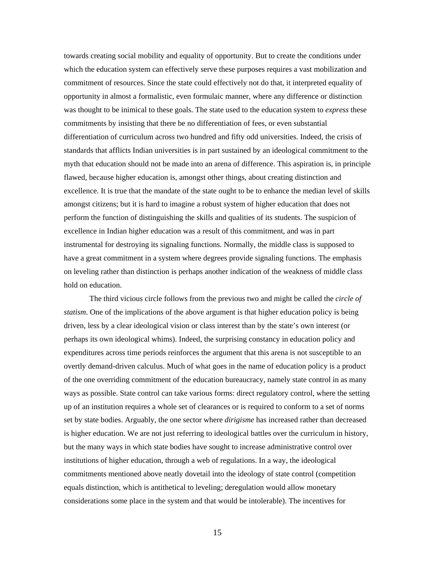towards creating social mobility and equality of opportunity. But to create the conditions under which the education system can effectively serve these purposes requires a vast mobilization and commitment of resources. Since the state could effectively not do that, it interpreted equality of opportunity in almost a formalistic, even formulaic manner, where any difference or distinction was thought to be inimical to these goals. The state used to the education system to *express* these commitments by insisting that there be no differentiation of fees, or even substantial differentiation of curriculum across two hundred and fifty odd universities. Indeed, the crisis of standards that afflicts Indian universities is in part sustained by an ideological commitment to the myth that education should not be made into an arena of difference. This aspiration is, in principle flawed, because higher education is, amongst other things, about creating distinction and excellence. It is true that the mandate of the state ought to be to enhance the median level of skills amongst citizens; but it is hard to imagine a robust system of higher education that does not perform the function of distinguishing the skills and qualities of its students. The suspicion of excellence in Indian higher education was a result of this commitment, and was in part instrumental for destroying its signaling functions. Normally, the middle class is supposed to have a great commitment in a system where degrees provide signaling functions. The emphasis on leveling rather than distinction is perhaps another indication of the weakness of middle class hold on education.

The third vicious circle follows from the previous two and might be called the *circle of statism*. One of the implications of the above argument is that higher education policy is being driven, less by a clear ideological vision or class interest than by the state's own interest (or perhaps its own ideological whims). Indeed, the surprising constancy in education policy and expenditures across time periods reinforces the argument that this arena is not susceptible to an overtly demand-driven calculus. Much of what goes in the name of education policy is a product of the one overriding commitment of the education bureaucracy, namely state control in as many ways as possible. State control can take various forms: direct regulatory control, where the setting up of an institution requires a whole set of clearances or is required to conform to a set of norms set by state bodies. Arguably, the one sector where *dirigisme* has increased rather than decreased is higher education. We are not just referring to ideological battles over the curriculum in history, but the many ways in which state bodies have sought to increase administrative control over institutions of higher education, through a web of regulations. In a way, the ideological commitments mentioned above neatly dovetail into the ideology of state control (competition equals distinction, which is antithetical to leveling; deregulation would allow monetary considerations some place in the system and that would be intolerable). The incentives for

15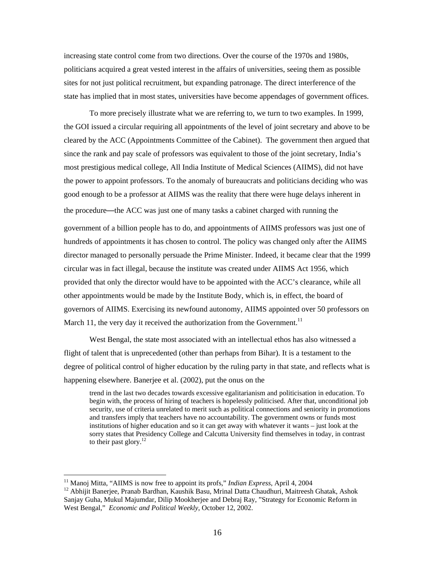increasing state control come from two directions. Over the course of the 1970s and 1980s, politicians acquired a great vested interest in the affairs of universities, seeing them as possible sites for not just political recruitment, but expanding patronage. The direct interference of the state has implied that in most states, universities have become appendages of government offices.

To more precisely illustrate what we are referring to, we turn to two examples. In 1999, the GOI issued a circular requiring all appointments of the level of joint secretary and above to be cleared by the ACC (Appointments Committee of the Cabinet). The government then argued that since the rank and pay scale of professors was equivalent to those of the joint secretary, India's most prestigious medical college, All India Institute of Medical Sciences (AIIMS), did not have the power to appoint professors. To the anomaly of bureaucrats and politicians deciding who was good enough to be a professor at AIIMS was the reality that there were huge delays inherent in the procedure—the ACC was just one of many tasks a cabinet charged with running the government of a billion people has to do, and appointments of AIIMS professors was just one of hundreds of appointments it has chosen to control. The policy was changed only after the AIIMS director managed to personally persuade the Prime Minister. Indeed, it became clear that the 1999 circular was in fact illegal, because the institute was created under AIIMS Act 1956, which provided that only the director would have to be appointed with the ACC's clearance, while all other appointments would be made by the Institute Body, which is, in effect, the board of governors of AIIMS. Exercising its newfound autonomy, AIIMS appointed over 50 professors on March 11, the very day it received the authorization from the Government.<sup>11</sup>

West Bengal, the state most associated with an intellectual ethos has also witnessed a flight of talent that is unprecedented (other than perhaps from Bihar). It is a testament to the degree of political control of higher education by the ruling party in that state, and reflects what is happening elsewhere. Banerjee et al. (2002), put the onus on the

trend in the last two decades towards excessive egalitarianism and politicisation in education. To begin with, the process of hiring of teachers is hopelessly politicised. After that, unconditional job security, use of criteria unrelated to merit such as political connections and seniority in promotions and transfers imply that teachers have no accountability. The government owns or funds most institutions of higher education and so it can get away with whatever it wants – just look at the sorry states that Presidency College and Calcutta University find themselves in today, in contrast to their past glory.<sup>[12](#page-16-1)</sup>

<span id="page-16-0"></span><sup>&</sup>lt;sup>11</sup> Manoj Mitta, "AIIMS is now free to appoint its profs," *Indian Express*, April 4, 2004

<span id="page-16-1"></span><sup>&</sup>lt;sup>12</sup> Abhijit Banerjee, Pranab Bardhan, Kaushik Basu, Mrinal Datta Chaudhuri, Maitreesh Ghatak, Ashok Sanjay Guha, Mukul Majumdar, Dilip Mookherjee and Debraj Ray, "Strategy for Economic Reform in West Bengal," *Economic and Political Weekly*, October 12, 2002.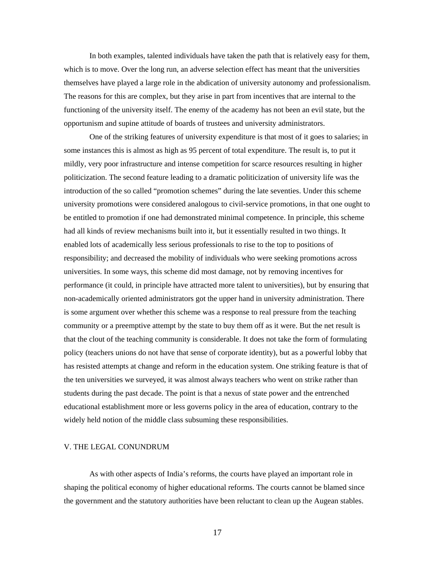In both examples, talented individuals have taken the path that is relatively easy for them, which is to move. Over the long run, an adverse selection effect has meant that the universities themselves have played a large role in the abdication of university autonomy and professionalism. The reasons for this are complex, but they arise in part from incentives that are internal to the functioning of the university itself. The enemy of the academy has not been an evil state, but the opportunism and supine attitude of boards of trustees and university administrators.

One of the striking features of university expenditure is that most of it goes to salaries; in some instances this is almost as high as 95 percent of total expenditure. The result is, to put it mildly, very poor infrastructure and intense competition for scarce resources resulting in higher politicization. The second feature leading to a dramatic politicization of university life was the introduction of the so called "promotion schemes" during the late seventies. Under this scheme university promotions were considered analogous to civil-service promotions, in that one ought to be entitled to promotion if one had demonstrated minimal competence. In principle, this scheme had all kinds of review mechanisms built into it, but it essentially resulted in two things. It enabled lots of academically less serious professionals to rise to the top to positions of responsibility; and decreased the mobility of individuals who were seeking promotions across universities. In some ways, this scheme did most damage, not by removing incentives for performance (it could, in principle have attracted more talent to universities), but by ensuring that non-academically oriented administrators got the upper hand in university administration. There is some argument over whether this scheme was a response to real pressure from the teaching community or a preemptive attempt by the state to buy them off as it were. But the net result is that the clout of the teaching community is considerable. It does not take the form of formulating policy (teachers unions do not have that sense of corporate identity), but as a powerful lobby that has resisted attempts at change and reform in the education system. One striking feature is that of the ten universities we surveyed, it was almost always teachers who went on strike rather than students during the past decade. The point is that a nexus of state power and the entrenched educational establishment more or less governs policy in the area of education, contrary to the widely held notion of the middle class subsuming these responsibilities.

#### V. THE LEGAL CONUNDRUM

As with other aspects of India's reforms, the courts have played an important role in shaping the political economy of higher educational reforms. The courts cannot be blamed since the government and the statutory authorities have been reluctant to clean up the Augean stables.

17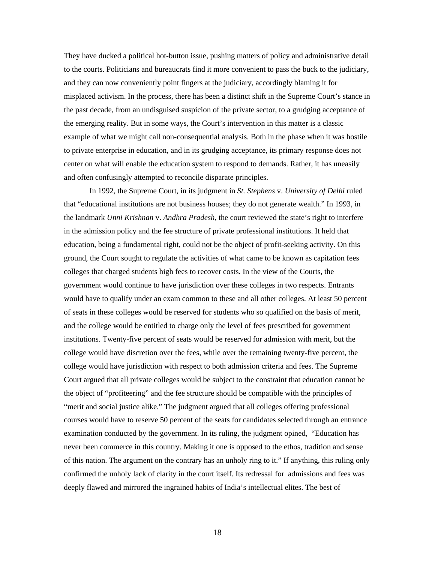They have ducked a political hot-button issue, pushing matters of policy and administrative detail to the courts. Politicians and bureaucrats find it more convenient to pass the buck to the judiciary, and they can now conveniently point fingers at the judiciary, accordingly blaming it for misplaced activism. In the process, there has been a distinct shift in the Supreme Court's stance in the past decade, from an undisguised suspicion of the private sector, to a grudging acceptance of the emerging reality. But in some ways, the Court's intervention in this matter is a classic example of what we might call non-consequential analysis. Both in the phase when it was hostile to private enterprise in education, and in its grudging acceptance, its primary response does not center on what will enable the education system to respond to demands. Rather, it has uneasily and often confusingly attempted to reconcile disparate principles.

In 1992, the Supreme Court, in its judgment in *St. Stephens* v. *University of Delhi* ruled that "educational institutions are not business houses; they do not generate wealth." In 1993, in the landmark *Unni Krishnan* v. *Andhra Pradesh*, the court reviewed the state's right to interfere in the admission policy and the fee structure of private professional institutions. It held that education, being a fundamental right, could not be the object of profit-seeking activity. On this ground, the Court sought to regulate the activities of what came to be known as capitation fees colleges that charged students high fees to recover costs. In the view of the Courts, the government would continue to have jurisdiction over these colleges in two respects. Entrants would have to qualify under an exam common to these and all other colleges. At least 50 percent of seats in these colleges would be reserved for students who so qualified on the basis of merit, and the college would be entitled to charge only the level of fees prescribed for government institutions. Twenty-five percent of seats would be reserved for admission with merit, but the college would have discretion over the fees, while over the remaining twenty-five percent, the college would have jurisdiction with respect to both admission criteria and fees. The Supreme Court argued that all private colleges would be subject to the constraint that education cannot be the object of "profiteering" and the fee structure should be compatible with the principles of "merit and social justice alike." The judgment argued that all colleges offering professional courses would have to reserve 50 percent of the seats for candidates selected through an entrance examination conducted by the government. In its ruling, the judgment opined, "Education has never been commerce in this country. Making it one is opposed to the ethos, tradition and sense of this nation. The argument on the contrary has an unholy ring to it." If anything, this ruling only confirmed the unholy lack of clarity in the court itself. Its redressal for admissions and fees was deeply flawed and mirrored the ingrained habits of India's intellectual elites. The best of

18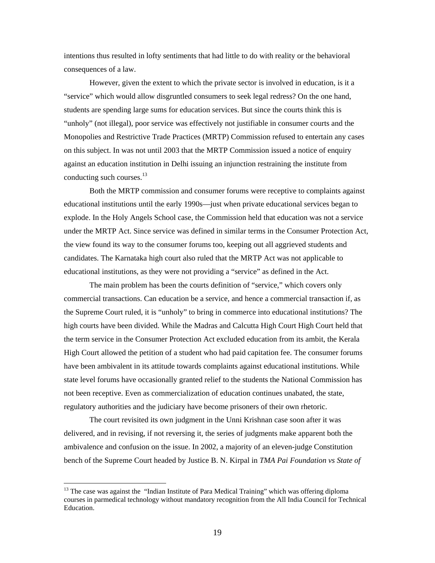intentions thus resulted in lofty sentiments that had little to do with reality or the behavioral consequences of a law.

However, given the extent to which the private sector is involved in education, is it a "service" which would allow disgruntled consumers to seek legal redress? On the one hand, students are spending large sums for education services. But since the courts think this is "unholy" (not illegal), poor service was effectively not justifiable in consumer courts and the Monopolies and Restrictive Trade Practices (MRTP) Commission refused to entertain any cases on this subject. In was not until 2003 that the MRTP Commission issued a notice of enquiry against an education institution in Delhi issuing an injunction restraining the institute from conducting such courses. $^{13}$ 

Both the MRTP commission and consumer forums were receptive to complaints against educational institutions until the early 1990s—just when private educational services began to explode. In the Holy Angels School case, the Commission held that education was not a service under the MRTP Act. Since service was defined in similar terms in the Consumer Protection Act, the view found its way to the consumer forums too, keeping out all aggrieved students and candidates. The Karnataka high court also ruled that the MRTP Act was not applicable to educational institutions, as they were not providing a "service" as defined in the Act.

The main problem has been the courts definition of "service," which covers only commercial transactions. Can education be a service, and hence a commercial transaction if, as the Supreme Court ruled, it is "unholy" to bring in commerce into educational institutions? The high courts have been divided. While the Madras and Calcutta High Court High Court held that the term service in the Consumer Protection Act excluded education from its ambit, the Kerala High Court allowed the petition of a student who had paid capitation fee. The consumer forums have been ambivalent in its attitude towards complaints against educational institutions. While state level forums have occasionally granted relief to the students the National Commission has not been receptive. Even as commercialization of education continues unabated, the state, regulatory authorities and the judiciary have become prisoners of their own rhetoric.

The court revisited its own judgment in the Unni Krishnan case soon after it was delivered, and in revising, if not reversing it, the series of judgments make apparent both the ambivalence and confusion on the issue. In 2002, a majority of an eleven-judge Constitution bench of the Supreme Court headed by Justice B. N. Kirpal in *TMA Pai Foundation vs State of* 

<span id="page-19-0"></span><sup>&</sup>lt;sup>13</sup> The case was against the "Indian Institute of Para Medical Training" which was offering diploma courses in parmedical technology without mandatory recognition from the All India Council for Technical Education.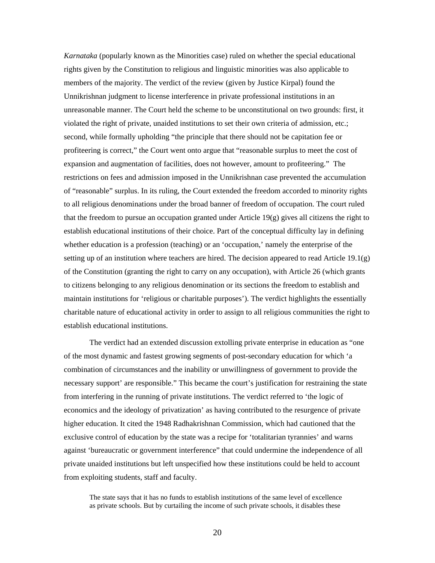*Karnataka* (popularly known as the Minorities case) ruled on whether the special educational rights given by the Constitution to religious and linguistic minorities was also applicable to members of the majority. The verdict of the review (given by Justice Kirpal) found the Unnikrishnan judgment to license interference in private professional institutions in an unreasonable manner. The Court held the scheme to be unconstitutional on two grounds: first, it violated the right of private, unaided institutions to set their own criteria of admission, etc.; second, while formally upholding "the principle that there should not be capitation fee or profiteering is correct," the Court went onto argue that "reasonable surplus to meet the cost of expansion and augmentation of facilities, does not however, amount to profiteering." The restrictions on fees and admission imposed in the Unnikrishnan case prevented the accumulation of "reasonable" surplus. In its ruling, the Court extended the freedom accorded to minority rights to all religious denominations under the broad banner of freedom of occupation. The court ruled that the freedom to pursue an occupation granted under Article  $19(g)$  gives all citizens the right to establish educational institutions of their choice. Part of the conceptual difficulty lay in defining whether education is a profession (teaching) or an 'occupation,' namely the enterprise of the setting up of an institution where teachers are hired. The decision appeared to read Article 19.1(g) of the Constitution (granting the right to carry on any occupation), with Article 26 (which grants to citizens belonging to any religious denomination or its sections the freedom to establish and maintain institutions for 'religious or charitable purposes'). The verdict highlights the essentially charitable nature of educational activity in order to assign to all religious communities the right to establish educational institutions.

The verdict had an extended discussion extolling private enterprise in education as "one of the most dynamic and fastest growing segments of post-secondary education for which 'a combination of circumstances and the inability or unwillingness of government to provide the necessary support' are responsible." This became the court's justification for restraining the state from interfering in the running of private institutions. The verdict referred to 'the logic of economics and the ideology of privatization' as having contributed to the resurgence of private higher education. It cited the 1948 Radhakrishnan Commission, which had cautioned that the exclusive control of education by the state was a recipe for 'totalitarian tyrannies' and warns against 'bureaucratic or government interference" that could undermine the independence of all private unaided institutions but left unspecified how these institutions could be held to account from exploiting students, staff and faculty.

The state says that it has no funds to establish institutions of the same level of excellence as private schools. But by curtailing the income of such private schools, it disables these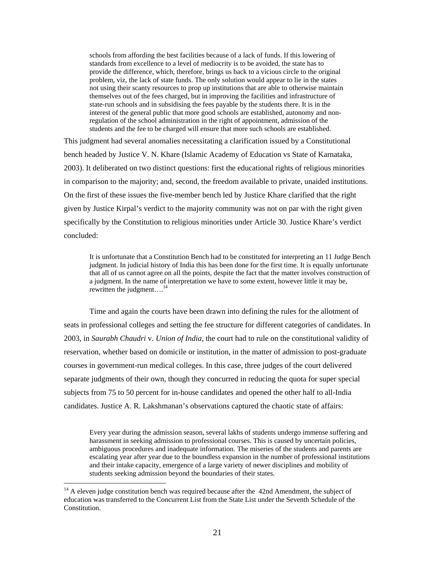schools from affording the best facilities because of a lack of funds. If this lowering of standards from excellence to a level of mediocrity is to be avoided, the state has to provide the difference, which, therefore, brings us back to a vicious circle to the original problem, viz, the lack of state funds. The only solution would appear to lie in the states not using their scanty resources to prop up institutions that are able to otherwise maintain themselves out of the fees charged, but in improving the facilities and infrastructure of state-run schools and in subsidising the fees payable by the students there. It is in the interest of the general public that more good schools are established, autonomy and nonregulation of the school administration in the right of appointment, admission of the students and the fee to be charged will ensure that more such schools are established.

This judgment had several anomalies necessitating a clarification issued by a Constitutional bench headed by Justice V. N. Khare (Islamic Academy of Education vs State of Karnataka, 2003). It deliberated on two distinct questions: first the educational rights of religious minorities in comparison to the majority; and, second, the freedom available to private, unaided institutions. On the first of these issues the five-member bench led by Justice Khare clarified that the right given by Justice Kirpal's verdict to the majority community was not on par with the right given specifically by the Constitution to religious minorities under Article 30. Justice Khare's verdict concluded:

It is unfortunate that a Constitution Bench had to be constituted for interpreting an 11 Judge Bench judgment. In judicial history of India this has been done for the first time. It is equally unfortunate that all of us cannot agree on all the points, despite the fact that the matter involves construction of a judgment. In the name of interpretation we have to some extent, however little it may be, rewritten the judgment....<sup>[14](#page-21-0)</sup>

Time and again the courts have been drawn into defining the rules for the allotment of seats in professional colleges and setting the fee structure for different categories of candidates. In 2003, in *Saurabh Chaudri* v. *Union of India*, the court had to rule on the constitutional validity of reservation, whether based on domicile or institution, in the matter of admission to post-graduate courses in government-run medical colleges. In this case, three judges of the court delivered separate judgments of their own, though they concurred in reducing the quota for super special subjects from 75 to 50 percent for in-house candidates and opened the other half to all-India candidates. Justice A. R. Lakshmanan's observations captured the chaotic state of affairs:

Every year during the admission season, several lakhs of students undergo immense suffering and harassment in seeking admission to professional courses. This is caused by uncertain policies, ambiguous procedures and inadequate information. The miseries of the students and parents are escalating year after year due to the boundless expansion in the number of professional institutions and their intake capacity, emergence of a large variety of newer disciplines and mobility of students seeking admission beyond the boundaries of their states.

<span id="page-21-0"></span><sup>&</sup>lt;sup>14</sup> A eleven judge constitution bench was required because after the 42nd Amendment, the subject of education was transferred to the Concurrent List from the State List under the Seventh Schedule of the Constitution.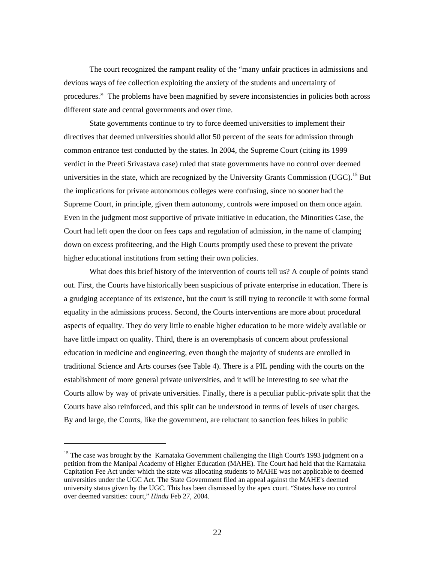The court recognized the rampant reality of the "many unfair practices in admissions and devious ways of fee collection exploiting the anxiety of the students and uncertainty of procedures." The problems have been magnified by severe inconsistencies in policies both across different state and central governments and over time.

State governments continue to try to force deemed universities to implement their directives that deemed universities should allot 50 percent of the seats for admission through common entrance test conducted by the states. In 2004, the Supreme Court (citing its 1999 verdict in the Preeti Srivastava case) ruled that state governments have no control over deemed universities in the state, which are recognized by the University Grants Commission (UGC).<sup>15</sup> But the implications for private autonomous colleges were confusing, since no sooner had the Supreme Court, in principle, given them autonomy, controls were imposed on them once again. Even in the judgment most supportive of private initiative in education, the Minorities Case, the Court had left open the door on fees caps and regulation of admission, in the name of clamping down on excess profiteering, and the High Courts promptly used these to prevent the private higher educational institutions from setting their own policies.

What does this brief history of the intervention of courts tell us? A couple of points stand out. First, the Courts have historically been suspicious of private enterprise in education. There is a grudging acceptance of its existence, but the court is still trying to reconcile it with some formal equality in the admissions process. Second, the Courts interventions are more about procedural aspects of equality. They do very little to enable higher education to be more widely available or have little impact on quality. Third, there is an overemphasis of concern about professional education in medicine and engineering, even though the majority of students are enrolled in traditional Science and Arts courses (see Table 4). There is a PIL pending with the courts on the establishment of more general private universities, and it will be interesting to see what the Courts allow by way of private universities. Finally, there is a peculiar public-private split that the Courts have also reinforced, and this split can be understood in terms of levels of user charges. By and large, the Courts, like the government, are reluctant to sanction fees hikes in public

<span id="page-22-0"></span><sup>&</sup>lt;sup>15</sup> The case was brought by the Karnataka Government challenging the High Court's 1993 judgment on a petition from the Manipal Academy of Higher Education (MAHE). The Court had held that the Karnataka Capitation Fee Act under which the state was allocating students to MAHE was not applicable to deemed universities under the UGC Act. The State Government filed an appeal against the MAHE's deemed university status given by the UGC. This has been dismissed by the apex court. "States have no control over deemed varsities: court," *Hindu* Feb 27, 2004.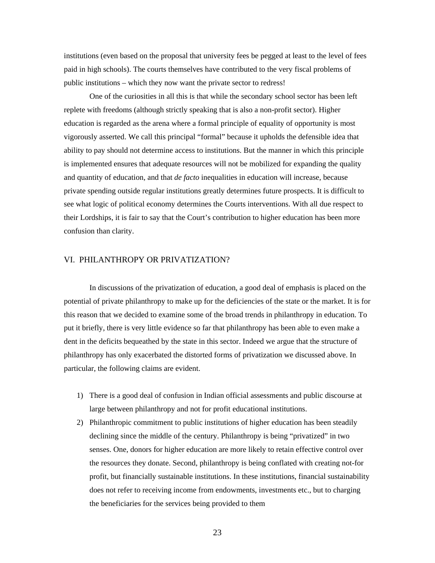institutions (even based on the proposal that university fees be pegged at least to the level of fees paid in high schools). The courts themselves have contributed to the very fiscal problems of public institutions – which they now want the private sector to redress!

One of the curiosities in all this is that while the secondary school sector has been left replete with freedoms (although strictly speaking that is also a non-profit sector). Higher education is regarded as the arena where a formal principle of equality of opportunity is most vigorously asserted. We call this principal "formal" because it upholds the defensible idea that ability to pay should not determine access to institutions. But the manner in which this principle is implemented ensures that adequate resources will not be mobilized for expanding the quality and quantity of education, and that *de facto* inequalities in education will increase, because private spending outside regular institutions greatly determines future prospects. It is difficult to see what logic of political economy determines the Courts interventions. With all due respect to their Lordships, it is fair to say that the Court's contribution to higher education has been more confusion than clarity.

#### VI. PHILANTHROPY OR PRIVATIZATION?

In discussions of the privatization of education, a good deal of emphasis is placed on the potential of private philanthropy to make up for the deficiencies of the state or the market. It is for this reason that we decided to examine some of the broad trends in philanthropy in education. To put it briefly, there is very little evidence so far that philanthropy has been able to even make a dent in the deficits bequeathed by the state in this sector. Indeed we argue that the structure of philanthropy has only exacerbated the distorted forms of privatization we discussed above. In particular, the following claims are evident.

- 1) There is a good deal of confusion in Indian official assessments and public discourse at large between philanthropy and not for profit educational institutions.
- 2) Philanthropic commitment to public institutions of higher education has been steadily declining since the middle of the century. Philanthropy is being "privatized" in two senses. One, donors for higher education are more likely to retain effective control over the resources they donate. Second, philanthropy is being conflated with creating not-for profit, but financially sustainable institutions. In these institutions, financial sustainability does not refer to receiving income from endowments, investments etc., but to charging the beneficiaries for the services being provided to them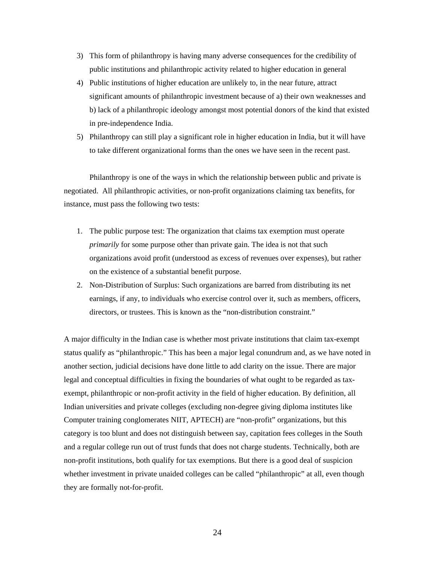- 3) This form of philanthropy is having many adverse consequences for the credibility of public institutions and philanthropic activity related to higher education in general
- 4) Public institutions of higher education are unlikely to, in the near future, attract significant amounts of philanthropic investment because of a) their own weaknesses and b) lack of a philanthropic ideology amongst most potential donors of the kind that existed in pre-independence India.
- 5) Philanthropy can still play a significant role in higher education in India, but it will have to take different organizational forms than the ones we have seen in the recent past.

Philanthropy is one of the ways in which the relationship between public and private is negotiated. All philanthropic activities, or non-profit organizations claiming tax benefits, for instance, must pass the following two tests:

- 1. The public purpose test: The organization that claims tax exemption must operate *primarily* for some purpose other than private gain. The idea is not that such organizations avoid profit (understood as excess of revenues over expenses), but rather on the existence of a substantial benefit purpose.
- 2. Non-Distribution of Surplus: Such organizations are barred from distributing its net earnings, if any, to individuals who exercise control over it, such as members, officers, directors, or trustees. This is known as the "non-distribution constraint."

A major difficulty in the Indian case is whether most private institutions that claim tax-exempt status qualify as "philanthropic." This has been a major legal conundrum and, as we have noted in another section, judicial decisions have done little to add clarity on the issue. There are major legal and conceptual difficulties in fixing the boundaries of what ought to be regarded as taxexempt, philanthropic or non-profit activity in the field of higher education. By definition, all Indian universities and private colleges (excluding non-degree giving diploma institutes like Computer training conglomerates NIIT, APTECH) are "non-profit" organizations, but this category is too blunt and does not distinguish between say, capitation fees colleges in the South and a regular college run out of trust funds that does not charge students. Technically, both are non-profit institutions, both qualify for tax exemptions. But there is a good deal of suspicion whether investment in private unaided colleges can be called "philanthropic" at all, even though they are formally not-for-profit.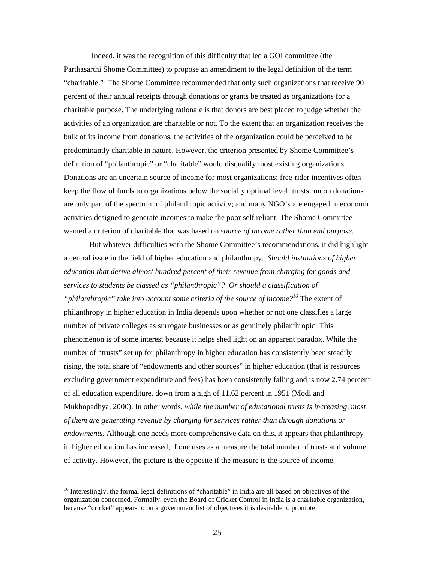Indeed, it was the recognition of this difficulty that led a GOI committee (the Parthasarthi Shome Committee) to propose an amendment to the legal definition of the term "charitable." The Shome Committee recommended that only such organizations that receive 90 percent of their annual receipts through donations or grants be treated as organizations for a charitable purpose. The underlying rationale is that donors are best placed to judge whether the activities of an organization are charitable or not. To the extent that an organization receives the bulk of its income from donations, the activities of the organization could be perceived to be predominantly charitable in nature. However, the criterion presented by Shome Committee's definition of "philanthropic" or "charitable" would disqualify most existing organizations. Donations are an uncertain source of income for most organizations; free-rider incentives often keep the flow of funds to organizations below the socially optimal level; trusts run on donations are only part of the spectrum of philanthropic activity; and many NGO's are engaged in economic activities designed to generate incomes to make the poor self reliant. The Shome Committee wanted a criterion of charitable that was based on *source of income rather than end purpose*.

But whatever difficulties with the Shome Committee's recommendations, it did highlight a central issue in the field of higher education and philanthropy. *Should institutions of higher education that derive almost hundred percent of their revenue from charging for goods and services to students be classed as "philanthropic"? Or should a classification of "philanthropic" take into account some criteria of the source of income?[16](#page-25-0)* The extent of philanthropy in higher education in India depends upon whether or not one classifies a large number of private colleges as surrogate businesses or as genuinely philanthropic This phenomenon is of some interest because it helps shed light on an apparent paradox. While the number of "trusts" set up for philanthropy in higher education has consistently been steadily rising, the total share of "endowments and other sources" in higher education (that is resources excluding government expenditure and fees) has been consistently falling and is now 2.74 percent of all education expenditure, down from a high of 11.62 percent in 1951 (Modi and Mukhopadhya, 2000). In other words, *while the number of educational trusts is increasing, most of them are generating revenue by charging for services rather than through donations or endowments.* Although one needs more comprehensive data on this, it appears that philanthropy in higher education has increased, if one uses as a measure the total number of trusts and volume of activity. However, the picture is the opposite if the measure is the source of income.

<span id="page-25-0"></span><sup>&</sup>lt;sup>16</sup> Interestingly, the formal legal definitions of "charitable" in India are all based on objectives of the organization concerned. Formally, even the Board of Cricket Control in India is a charitable organization, because "cricket" appears to on a government list of objectives it is desirable to promote.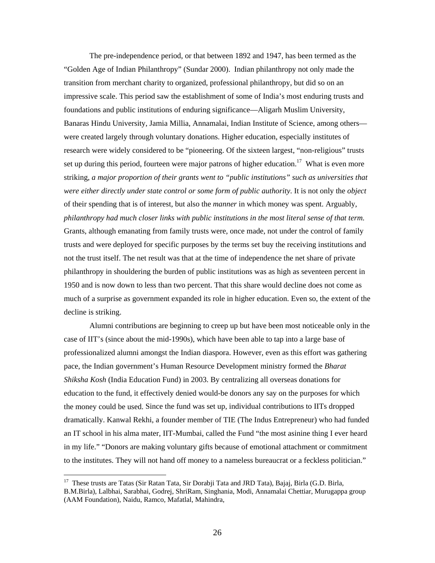The pre-independence period, or that between 1892 and 1947, has been termed as the "Golden Age of Indian Philanthropy" (Sundar 2000). Indian philanthropy not only made the transition from merchant charity to organized, professional philanthropy, but did so on an impressive scale. This period saw the establishment of some of India's most enduring trusts and foundations and public institutions of enduring significance—Aligarh Muslim University, Banaras Hindu University, Jamia Millia, Annamalai, Indian Institute of Science, among others were created largely through voluntary donations. Higher education, especially institutes of research were widely considered to be "pioneering. Of the sixteen largest, "non-religious" trusts set up during this period, fourteen were major patrons of higher education.<sup>17</sup> What is even more striking, *a major proportion of their grants went to "public institutions" such as universities that were either directly under state control or some form of public authority*. It is not only the *object* of their spending that is of interest, but also the *manner* in which money was spent. Arguably, *philanthropy had much closer links with public institutions in the most literal sense of that term.*  Grants, although emanating from family trusts were, once made, not under the control of family trusts and were deployed for specific purposes by the terms set buy the receiving institutions and not the trust itself. The net result was that at the time of independence the net share of private philanthropy in shouldering the burden of public institutions was as high as seventeen percent in 1950 and is now down to less than two percent. That this share would decline does not come as much of a surprise as government expanded its role in higher education. Even so, the extent of the decline is striking.

Alumni contributions are beginning to creep up but have been most noticeable only in the case of IIT's (since about the mid-1990s), which have been able to tap into a large base of professionalized alumni amongst the Indian diaspora. However, even as this effort was gathering pace, the Indian government's Human Resource Development ministry formed the *Bharat Shiksha Kosh* (India Education Fund) in 2003. By centralizing all overseas donations for education to the fund, it effectively denied would-be donors any say on the purposes for which the money could be used. Since the fund was set up, individual contributions to IITs dropped dramatically. Kanwal Rekhi, a founder member of TIE (The Indus Entrepreneur) who had funded an IT school in his alma mater, IIT-Mumbai, called the Fund "the most asinine thing I ever heard in my life." "Donors are making voluntary gifts because of emotional attachment or commitment to the institutes. They will not hand off money to a nameless bureaucrat or a feckless politician."

<span id="page-26-0"></span><sup>&</sup>lt;sup>17</sup> These trusts are Tatas (Sir Ratan Tata, Sir Dorabji Tata and JRD Tata), Bajaj, Birla (G.D. Birla, B.M.Birla), Lalbhai, Sarabhai, Godrej, ShriRam, Singhania, Modi, Annamalai Chettiar, Murugappa group (AAM Foundation), Naidu, Ramco, Mafatlal, Mahindra,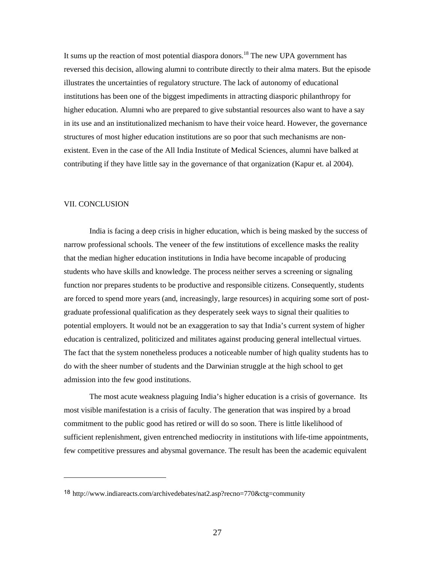It sums up the reaction of most potential diaspora donors.<sup>18</sup> The new UPA government has reversed this decision, allowing alumni to contribute directly to their alma maters. But the episode illustrates the uncertainties of regulatory structure. The lack of autonomy of educational institutions has been one of the biggest impediments in attracting diasporic philanthropy for higher education. Alumni who are prepared to give substantial resources also want to have a say in its use and an institutionalized mechanism to have their voice heard. However, the governance structures of most higher education institutions are so poor that such mechanisms are nonexistent. Even in the case of the All India Institute of Medical Sciences, alumni have balked at contributing if they have little say in the governance of that organization (Kapur et. al 2004).

#### VII. CONCLUSION

 $\overline{a}$ 

India is facing a deep crisis in higher education, which is being masked by the success of narrow professional schools. The veneer of the few institutions of excellence masks the reality that the median higher education institutions in India have become incapable of producing students who have skills and knowledge. The process neither serves a screening or signaling function nor prepares students to be productive and responsible citizens. Consequently, students are forced to spend more years (and, increasingly, large resources) in acquiring some sort of postgraduate professional qualification as they desperately seek ways to signal their qualities to potential employers. It would not be an exaggeration to say that India's current system of higher education is centralized, politicized and militates against producing general intellectual virtues. The fact that the system nonetheless produces a noticeable number of high quality students has to do with the sheer number of students and the Darwinian struggle at the high school to get admission into the few good institutions.

The most acute weakness plaguing India's higher education is a crisis of governance. Its most visible manifestation is a crisis of faculty. The generation that was inspired by a broad commitment to the public good has retired or will do so soon. There is little likelihood of sufficient replenishment, given entrenched mediocrity in institutions with life-time appointments, few competitive pressures and abysmal governance. The result has been the academic equivalent

<span id="page-27-0"></span><sup>18</sup> http://www.indiareacts.com/archivedebates/nat2.asp?recno=770&ctg=community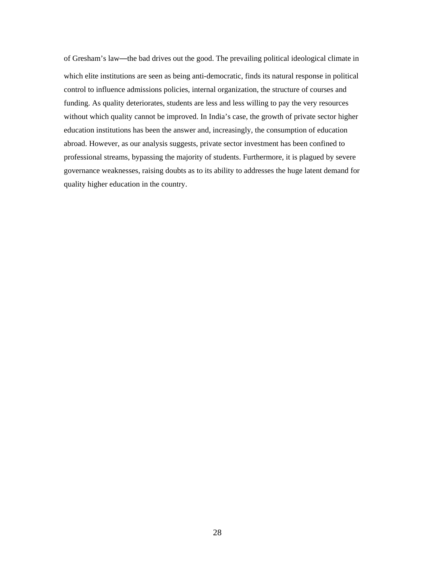of Gresham's law—the bad drives out the good. The prevailing political ideological climate in which elite institutions are seen as being anti-democratic, finds its natural response in political control to influence admissions policies, internal organization, the structure of courses and funding. As quality deteriorates, students are less and less willing to pay the very resources without which quality cannot be improved. In India's case, the growth of private sector higher education institutions has been the answer and, increasingly, the consumption of education abroad. However, as our analysis suggests, private sector investment has been confined to professional streams, bypassing the majority of students. Furthermore, it is plagued by severe governance weaknesses, raising doubts as to its ability to addresses the huge latent demand for quality higher education in the country.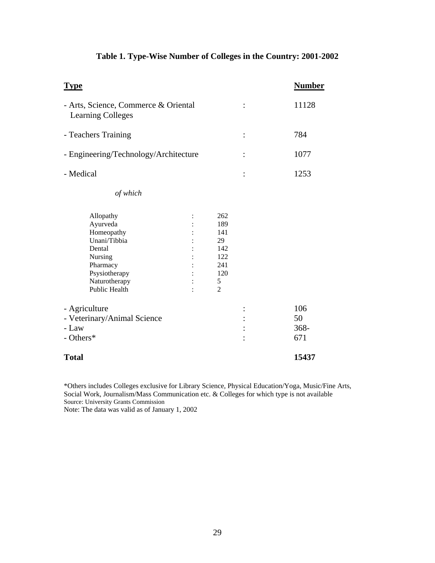| <b>Type</b>                                                                                                                                    |   |                                                               |       | <b>Number</b> |
|------------------------------------------------------------------------------------------------------------------------------------------------|---|---------------------------------------------------------------|-------|---------------|
| - Arts, Science, Commerce & Oriental<br><b>Learning Colleges</b>                                                                               |   | $\ddot{\cdot}$                                                | 11128 |               |
| - Teachers Training                                                                                                                            |   |                                                               | :     | 784           |
| - Engineering/Technology/Architecture                                                                                                          |   |                                                               |       | 1077          |
| - Medical                                                                                                                                      | : | 1253                                                          |       |               |
| of which                                                                                                                                       |   |                                                               |       |               |
| Allopathy<br>Ayurveda<br>Homeopathy<br>Unani/Tibbia<br>Dental<br>Nursing<br>Pharmacy<br>Psysiotherapy<br>Naturotherapy<br><b>Public Health</b> |   | 262<br>189<br>141<br>29<br>142<br>122<br>241<br>120<br>5<br>2 |       |               |
| - Agriculture                                                                                                                                  |   |                                                               |       | 106<br>50     |
| - Veterinary/Animal Science<br>- Law                                                                                                           |   |                                                               |       |               |
| - Others*                                                                                                                                      |   | $368 -$<br>671                                                |       |               |
| <b>Total</b>                                                                                                                                   |   |                                                               |       | 15437         |

## **Table 1. Type-Wise Number of Colleges in the Country: 2001-2002**

\*Others includes Colleges exclusive for Library Science, Physical Education/Yoga, Music/Fine Arts, Social Work, Journalism/Mass Communication etc. & Colleges for which type is not available Source: University Grants Commission

Note: The data was valid as of January 1, 2002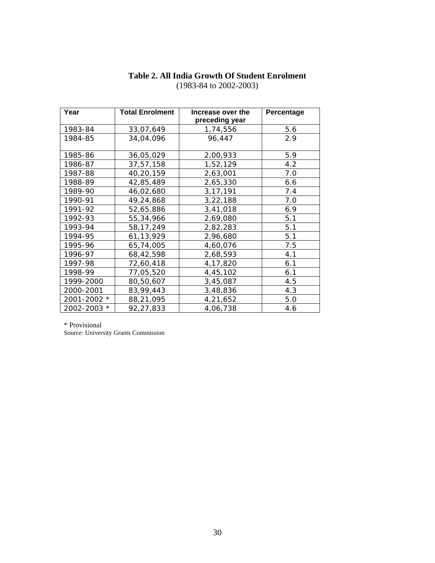| Year        | <b>Total Enrolment</b> | Increase over the<br>preceding year | <b>Percentage</b> |
|-------------|------------------------|-------------------------------------|-------------------|
| 1983-84     | 33,07,649              | 1,74,556                            | 5.6               |
| 1984-85     | 34,04,096              | 96,447                              | 2.9               |
| 1985-86     | 36,05,029              | 2,00,933                            | 5.9               |
| 1986-87     | 37,57,158              | 1,52,129                            | 4.2               |
| 1987-88     | 40,20,159              | 2,63,001                            | 7.0               |
| 1988-89     | 42,85,489              | 2,65,330                            | 6.6               |
| 1989-90     | 46,02,680              | 3, 17, 191                          | 7.4               |
| 1990-91     | 49,24,868              | 3,22,188                            | 7.0               |
| 1991-92     | 52,65,886              | 3,41,018                            | 6.9               |
| 1992-93     | 55,34,966              | 2,69,080                            | 5.1               |
| 1993-94     | 58, 17, 249            | 2,82,283                            | 5.1               |
| 1994-95     | 61, 13, 929            | 2,96,680                            | 5.1               |
| 1995-96     | 65,74,005              | 4,60,076                            | 7.5               |
| 1996-97     | 68,42,598              | 2,68,593                            | 4.1               |
| 1997-98     | 72,60,418              | 4,17,820                            | 6.1               |
| 1998-99     | 77,05,520              | 4,45,102                            | 6.1               |
| 1999-2000   | 80,50,607              | 3,45,087                            | 4.5               |
| 2000-2001   | 83,99,443              | 3,48,836                            | 4.3               |
| 2001-2002 * | 88,21,095              | 4,21,652                            | 5.0               |
| 2002-2003 * | 92,27,833              | 4,06,738                            | 4.6               |

## **Table 2. All India Growth Of Student Enrolment**  (1983-84 to 2002-2003)

\* Provisional

Source: University Grants Commission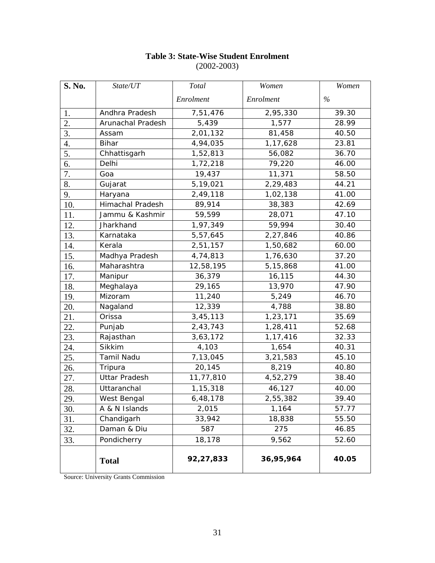| S. No.             | State/UT          | <b>Total</b> | Women     | Women |
|--------------------|-------------------|--------------|-----------|-------|
|                    |                   | Enrolment    | Enrolment | $\%$  |
| 1.                 | Andhra Pradesh    | 7,51,476     | 2,95,330  | 39.30 |
| 2.                 | Arunachal Pradesh | 5,439        | 1,577     | 28.99 |
| 3.                 | Assam             | 2,01,132     | 81,458    | 40.50 |
| $\boldsymbol{4}$ . | <b>Bihar</b>      | 4,94,035     | 1,17,628  | 23.81 |
| 5.                 | Chhattisgarh      | 1,52,813     | 56,082    | 36.70 |
| 6.                 | Delhi             | 1,72,218     | 79,220    | 46.00 |
| 7.                 | Goa               | 19,437       | 11,371    | 58.50 |
| 8.                 | Gujarat           | 5,19,021     | 2,29,483  | 44.21 |
| 9.                 | Haryana           | 2,49,118     | 1,02,138  | 41.00 |
| 10.                | Himachal Pradesh  | 89,914       | 38,383    | 42.69 |
| 11.                | Jammu & Kashmir   | 59,599       | 28,071    | 47.10 |
| 12.                | Jharkhand         | 1,97,349     | 59,994    | 30.40 |
| 13.                | Karnataka         | 5,57,645     | 2,27,846  | 40.86 |
| 14.                | Kerala            | 2,51,157     | 1,50,682  | 60.00 |
| 15.                | Madhya Pradesh    | 4,74,813     | 1,76,630  | 37.20 |
| 16.                | Maharashtra       | 12,58,195    | 5,15,868  | 41.00 |
| 17.                | Manipur           | 36,379       | 16,115    | 44.30 |
| 18.                | Meghalaya         | 29,165       | 13,970    | 47.90 |
| 19.                | Mizoram           | 11,240       | 5,249     | 46.70 |
| 20.                | Nagaland          | 12,339       | 4,788     | 38.80 |
| 21.                | Orissa            | 3,45,113     | 1,23,171  | 35.69 |
| 22.                | Punjab            | 2,43,743     | 1,28,411  | 52.68 |
| 23.                | Rajasthan         | 3,63,172     | 1,17,416  | 32.33 |
| 24.                | Sikkim            | 4,103        | 1,654     | 40.31 |
| 25.                | Tamil Nadu        | 7,13,045     | 3,21,583  | 45.10 |
| 26.                | Tripura           | 20,145       | 8,219     | 40.80 |
| 27.                | Uttar Pradesh     | 11,77,810    | 4,52,279  | 38.40 |
| 28.                | Uttaranchal       | 1,15,318     | 46,127    | 40.00 |
| 29.                | West Bengal       | 6,48,178     | 2,55,382  | 39.40 |
| 30.                | A & N Islands     | 2,015        | 1,164     | 57.77 |
| 31.                | Chandigarh        | 33,942       | 18,838    | 55.50 |
| 32.                | Daman & Diu       | 587          | 275       | 46.85 |
| 33.                | Pondicherry       | 18,178       | 9,562     | 52.60 |
|                    | <b>Total</b>      | 92,27,833    | 36,95,964 | 40.05 |

## **Table 3: State-Wise Student Enrolment**  (2002-2003)

Source: University Grants Commission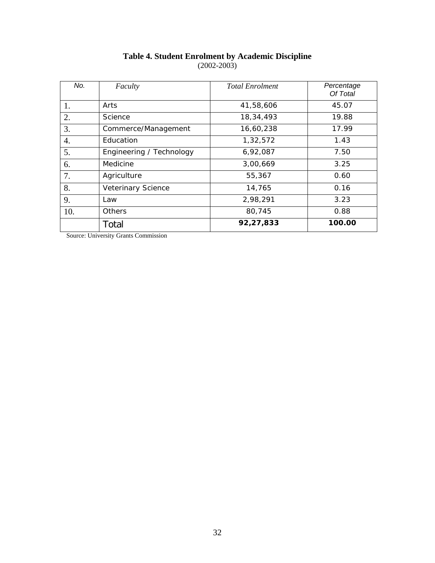| No. | Faculty                  | <b>Total Enrolment</b> | Percentage<br>Of Total |
|-----|--------------------------|------------------------|------------------------|
| 1.  | Arts                     | 41,58,606              | 45.07                  |
| 2.  | Science                  | 18,34,493              | 19.88                  |
| 3.  | Commerce/Management      | 16,60,238              | 17.99                  |
| 4.  | Education                | 1,32,572               | 1.43                   |
| 5.  | Engineering / Technology | 6,92,087               | 7.50                   |
| 6.  | Medicine                 | 3,00,669               | 3.25                   |
| 7.  | Agriculture              | 55,367                 | 0.60                   |
| 8.  | Veterinary Science       | 14,765                 | 0.16                   |
| 9.  | Law                      | 2,98,291               | 3.23                   |
| 10. | Others                   | 80,745                 | 0.88                   |
|     | Total                    | 92,27,833              | 100.00                 |

### **Table 4. Student Enrolment by Academic Discipline**  (2002-2003)

Source: University Grants Commission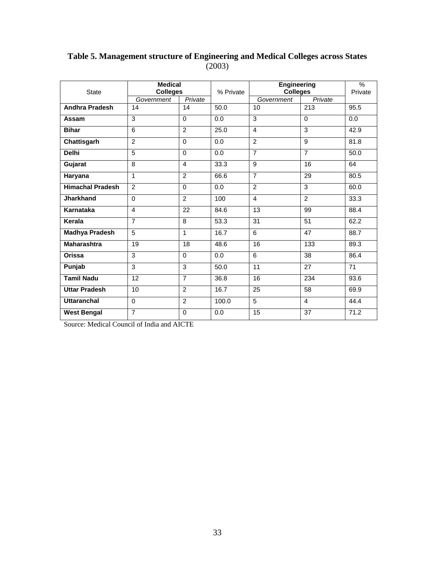| <b>State</b>            | <b>Medical</b><br><b>Colleges</b> |                | % Private | <b>Engineering</b><br><b>Colleges</b> | $\frac{0}{0}$<br>Private |      |  |
|-------------------------|-----------------------------------|----------------|-----------|---------------------------------------|--------------------------|------|--|
|                         | Government                        | Private        |           | Government                            | Private                  |      |  |
| <b>Andhra Pradesh</b>   | 14                                | 14             | 50.0      | 10                                    | 213                      | 95.5 |  |
| Assam                   | 3                                 | $\Omega$       | 0.0       | $\overline{3}$                        | $\mathbf 0$              | 0.0  |  |
| <b>Bihar</b>            | 6                                 | 2              | 25.0      | $\overline{4}$                        | 3                        | 42.9 |  |
| Chattisgarh             | $\mathfrak{p}$                    | $\Omega$       | 0.0       | $\overline{2}$                        | 9                        | 81.8 |  |
| <b>Delhi</b>            | 5                                 | $\Omega$       | 0.0       | $\overline{7}$                        | $\overline{7}$           | 50.0 |  |
| Gujarat                 | 8                                 | 4              | 33.3      | $\overline{9}$                        | 16                       | 64   |  |
| Haryana                 | 1                                 | $\mathfrak{p}$ | 66.6      | $\overline{7}$                        | 29                       | 80.5 |  |
| <b>Himachal Pradesh</b> | $\mathfrak{p}$                    | $\Omega$       | 0.0       | $\overline{2}$                        | 3                        | 60.0 |  |
| <b>Jharkhand</b>        | $\Omega$                          | $\overline{2}$ | 100       | $\overline{4}$                        | $\overline{2}$           | 33.3 |  |
| Karnataka               | 4                                 | 22             | 84.6      | 13                                    | 99                       | 88.4 |  |
| Kerala                  | $\overline{7}$                    | 8              | 53.3      | 31                                    | 51                       | 62.2 |  |
| <b>Madhya Pradesh</b>   | 5                                 | 1              | 16.7      | 6                                     | 47                       | 88.7 |  |
| <b>Maharashtra</b>      | 19                                | 18             | 48.6      | 16                                    | 133                      | 89.3 |  |
| Orissa                  | 3                                 | $\Omega$       | 0.0       | 6                                     | 38                       | 86.4 |  |
| Punjab                  | 3                                 | $\overline{3}$ | 50.0      | 11                                    | 27                       | 71   |  |
| <b>Tamil Nadu</b>       | 12                                | $\overline{7}$ | 36.8      | 16                                    | 234                      | 93.6 |  |
| <b>Uttar Pradesh</b>    | 10                                | 2              | 16.7      | 25                                    | 58                       | 69.9 |  |
| <b>Uttaranchal</b>      | $\Omega$                          | $\overline{2}$ | 100.0     | $\overline{5}$                        | $\overline{4}$           | 44.4 |  |
| <b>West Bengal</b>      | $\overline{7}$                    | $\Omega$       | 0.0       | 15                                    | 37                       | 71.2 |  |

## **Table 5. Management structure of Engineering and Medical Colleges across States** (2003)

Source: Medical Council of India and AICTE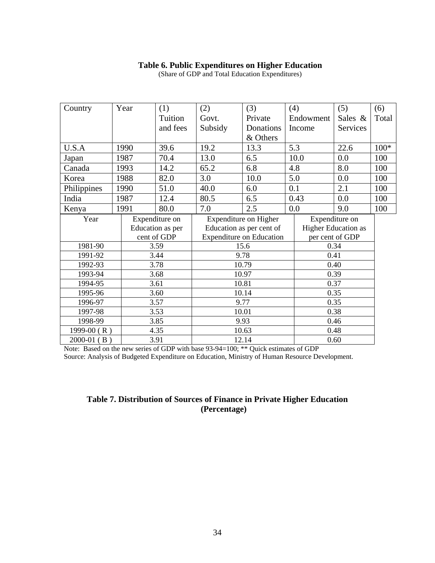## **Table 6. Public Expenditures on Higher Education**

| Country               |  | Year  | (1)              | (2)     | (3)                             |      | (4)       | (5)                 | (6)    |
|-----------------------|--|-------|------------------|---------|---------------------------------|------|-----------|---------------------|--------|
|                       |  |       | Tuition          | Govt.   | Private                         |      | Endowment | Sales &             | Total  |
|                       |  |       | and fees         | Subsidy | Donations                       |      | Income    | Services            |        |
|                       |  |       |                  |         | & Others                        |      |           |                     |        |
| U.S.A                 |  | 1990  | 39.6             | 19.2    | 13.3                            |      | 5.3       | 22.6                | $100*$ |
| Japan                 |  | 1987  | 70.4             | 13.0    | 6.5                             |      | 10.0      | 0.0                 | 100    |
| Canada                |  | 1993  | 14.2             | 65.2    | 6.8                             |      | 4.8       | 8.0                 | 100    |
| Korea                 |  | 1988  | 82.0             | 3.0     | 10.0                            |      | 5.0       | 0.0                 | 100    |
| Philippines           |  | 1990  | 51.0             | 40.0    | 6.0                             |      | 0.1       | 2.1                 | 100    |
| India                 |  | 1987  | 12.4             | 80.5    | 6.5                             |      | 0.43      | 0.0                 | 100    |
| Kenya                 |  | 1991  | 80.0             | 7.0     | 2.5                             |      | 0.0       | 9.0                 | 100    |
| Year                  |  |       | Expenditure on   |         | <b>Expenditure on Higher</b>    |      |           | Expenditure on      |        |
|                       |  |       | Education as per |         | Education as per cent of        |      |           | Higher Education as |        |
|                       |  |       | cent of GDP      |         | <b>Expenditure on Education</b> |      |           | per cent of GDP     |        |
| 1981-90               |  | 3.59  | 15.6             |         |                                 |      | 0.34      |                     |        |
| 1991-92               |  | 3.44  |                  | 9.78    |                                 |      | 0.41      |                     |        |
| 1992-93               |  |       | 3.78             | 10.79   |                                 |      |           | 0.40                |        |
| 1993-94               |  | 3.68  | 10.97            |         |                                 |      | 0.39      |                     |        |
| 1994-95<br>3.61       |  |       | 10.81            |         |                                 | 0.37 |           |                     |        |
| 1995-96<br>3.60       |  |       | 10.14            |         |                                 | 0.35 |           |                     |        |
| 3.57<br>1996-97       |  |       | 9.77             |         |                                 | 0.35 |           |                     |        |
| 3.53<br>1997-98       |  | 10.01 |                  |         | 0.38                            |      |           |                     |        |
| 1998-99<br>3.85       |  |       | 9.93             |         |                                 | 0.46 |           |                     |        |
| 1999-00 $(R)$<br>4.35 |  |       | 10.63            |         |                                 | 0.48 |           |                     |        |
| $2000-01$ (B)<br>3.91 |  |       | 12.14            |         | 0.60                            |      |           |                     |        |

(Share of GDP and Total Education Expenditures)

Note: Based on the new series of GDP with base 93-94=100; \*\* Quick estimates of GDP Source: Analysis of Budgeted Expenditure on Education, Ministry of Human Resource Development.

## **Table 7. Distribution of Sources of Finance in Private Higher Education (Percentage)**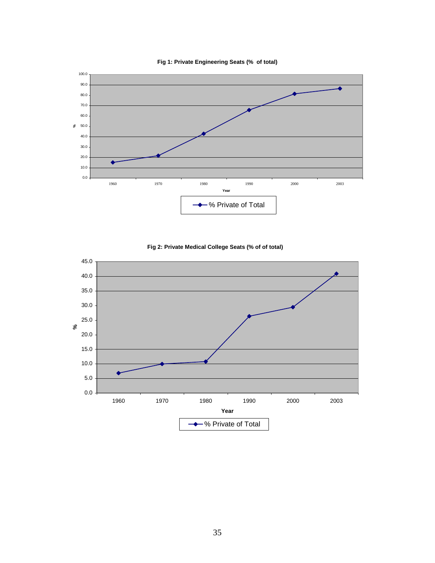